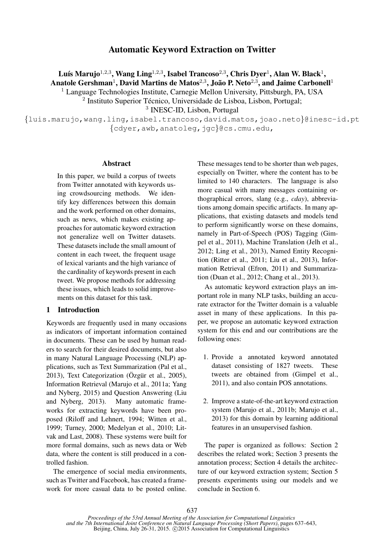# Automatic Keyword Extraction on Twitter

Luís Marujo $^{1,2,3},$  Wang Ling $^{1,2,3},$  Isabel Trancoso $^{2,3},$  Chris Dyer $^1,$  Alan W. Black $^1,$ Anatole Gershman $^1$ , David Martins de Matos $^{2,3}$ , João P. Neto $^{2,3},$  and Jaime Carbonell $^1$ 

<sup>1</sup> Language Technologies Institute, Carnegie Mellon University, Pittsburgh, PA, USA

<sup>2</sup> Instituto Superior Técnico, Universidade de Lisboa, Lisbon, Portugal;

3 INESC-ID, Lisbon, Portugal

{luis.marujo,wang.ling,isabel.trancoso,david.matos,joao.neto}@inesc-id.pt {cdyer,awb,anatoleg,jgc}@cs.cmu.edu,

#### Abstract

In this paper, we build a corpus of tweets from Twitter annotated with keywords using crowdsourcing methods. We identify key differences between this domain and the work performed on other domains, such as news, which makes existing approaches for automatic keyword extraction not generalize well on Twitter datasets. These datasets include the small amount of content in each tweet, the frequent usage of lexical variants and the high variance of the cardinality of keywords present in each tweet. We propose methods for addressing these issues, which leads to solid improvements on this dataset for this task.

#### 1 Introduction

Keywords are frequently used in many occasions as indicators of important information contained in documents. These can be used by human readers to search for their desired documents, but also in many Natural Language Processing (NLP) applications, such as Text Summarization (Pal et al., 2013), Text Categorization ( $\ddot{O}$ zgür et al., 2005), Information Retrieval (Marujo et al., 2011a; Yang and Nyberg, 2015) and Question Answering (Liu and Nyberg, 2013). Many automatic frameworks for extracting keywords have been proposed (Riloff and Lehnert, 1994; Witten et al., 1999; Turney, 2000; Medelyan et al., 2010; Litvak and Last, 2008). These systems were built for more formal domains, such as news data or Web data, where the content is still produced in a controlled fashion.

The emergence of social media environments, such as Twitter and Facebook, has created a framework for more casual data to be posted online. These messages tend to be shorter than web pages, especially on Twitter, where the content has to be limited to 140 characters. The language is also more casual with many messages containing orthographical errors, slang (e.g., *cday*), abbreviations among domain specific artifacts. In many applications, that existing datasets and models tend to perform significantly worse on these domains, namely in Part-of-Speech (POS) Tagging (Gimpel et al., 2011), Machine Translation (Jelh et al., 2012; Ling et al., 2013), Named Entity Recognition (Ritter et al., 2011; Liu et al., 2013), Information Retrieval (Efron, 2011) and Summarization (Duan et al., 2012; Chang et al., 2013).

As automatic keyword extraction plays an important role in many NLP tasks, building an accurate extractor for the Twitter domain is a valuable asset in many of these applications. In this paper, we propose an automatic keyword extraction system for this end and our contributions are the following ones:

- 1. Provide a annotated keyword annotated dataset consisting of 1827 tweets. These tweets are obtained from (Gimpel et al., 2011), and also contain POS annotations.
- 2. Improve a state-of-the-art keyword extraction system (Marujo et al., 2011b; Marujo et al., 2013) for this domain by learning additional features in an unsupervised fashion.

The paper is organized as follows: Section 2 describes the related work; Section 3 presents the annotation process; Section 4 details the architecture of our keyword extraction system; Section 5 presents experiments using our models and we conclude in Section 6.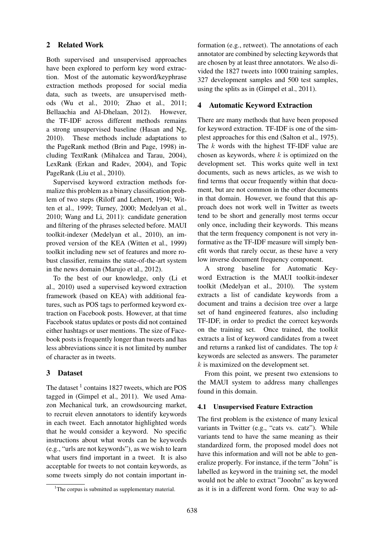# 2 Related Work

Both supervised and unsupervised approaches have been explored to perform key word extraction. Most of the automatic keyword/keyphrase extraction methods proposed for social media data, such as tweets, are unsupervised methods (Wu et al., 2010; Zhao et al., 2011; Bellaachia and Al-Dhelaan, 2012). However, the TF-IDF across different methods remains a strong unsupervised baseline (Hasan and Ng, 2010). These methods include adaptations to the PageRank method (Brin and Page, 1998) including TextRank (Mihalcea and Tarau, 2004), LexRank (Erkan and Radev, 2004), and Topic PageRank (Liu et al., 2010).

Supervised keyword extraction methods formalize this problem as a binary classification problem of two steps (Riloff and Lehnert, 1994; Witten et al., 1999; Turney, 2000; Medelyan et al., 2010; Wang and Li, 2011): candidate generation and filtering of the phrases selected before. MAUI toolkit-indexer (Medelyan et al., 2010), an improved version of the KEA (Witten et al., 1999) toolkit including new set of features and more robust classifier, remains the state-of-the-art system in the news domain (Marujo et al., 2012).

To the best of our knowledge, only (Li et al., 2010) used a supervised keyword extraction framework (based on KEA) with additional features, such as POS tags to performed keyword extraction on Facebook posts. However, at that time Facebook status updates or posts did not contained either hashtags or user mentions. The size of Facebook posts is frequently longer than tweets and has less abbreviations since it is not limited by number of character as in tweets.

# 3 Dataset

The dataset  $<sup>1</sup>$  contains 1827 tweets, which are POS</sup> tagged in (Gimpel et al., 2011). We used Amazon Mechanical turk, an crowdsourcing market, to recruit eleven annotators to identify keywords in each tweet. Each annotator highlighted words that he would consider a keyword. No specific instructions about what words can be keywords (e.g., "urls are not keywords"), as we wish to learn what users find important in a tweet. It is also acceptable for tweets to not contain keywords, as some tweets simply do not contain important information (e.g., retweet). The annotations of each annotator are combined by selecting keywords that are chosen by at least three annotators. We also divided the 1827 tweets into 1000 training samples, 327 development samples and 500 test samples, using the splits as in (Gimpel et al., 2011).

# 4 Automatic Keyword Extraction

There are many methods that have been proposed for keyword extraction. TF-IDF is one of the simplest approaches for this end (Salton et al., 1975). The k words with the highest TF-IDF value are chosen as keywords, where  $k$  is optimized on the development set. This works quite well in text documents, such as news articles, as we wish to find terms that occur frequently within that document, but are not common in the other documents in that domain. However, we found that this approach does not work well in Twitter as tweets tend to be short and generally most terms occur only once, including their keywords. This means that the term frequency component is not very informative as the TF-IDF measure will simply benefit words that rarely occur, as these have a very low inverse document frequency component.

A strong baseline for Automatic Keyword Extraction is the MAUI toolkit-indexer toolkit (Medelyan et al., 2010). The system extracts a list of candidate keywords from a document and trains a decision tree over a large set of hand engineered features, also including TF-IDF, in order to predict the correct keywords on the training set. Once trained, the toolkit extracts a list of keyword candidates from a tweet and returns a ranked list of candidates. The top  $k$ keywords are selected as answers. The parameter  $k$  is maximized on the development set.

From this point, we present two extensions to the MAUI system to address many challenges found in this domain.

# 4.1 Unsupervised Feature Extraction

The first problem is the existence of many lexical variants in Twitter (e.g., "cats vs. catz"). While variants tend to have the same meaning as their standardized form, the proposed model does not have this information and will not be able to generalize properly. For instance, if the term "John" is labelled as keyword in the training set, the model would not be able to extract "Jooohn" as keyword as it is in a different word form. One way to ad-

<sup>&</sup>lt;sup>1</sup>The corpus is submitted as supplementary material.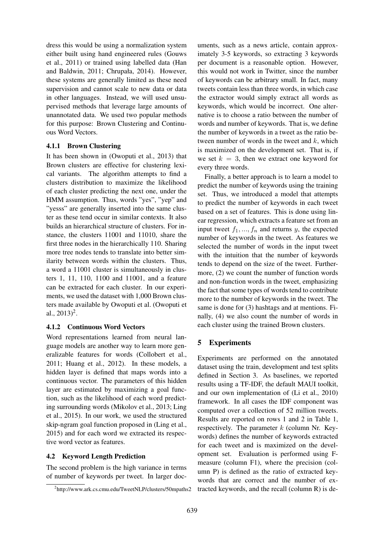dress this would be using a normalization system either built using hand engineered rules (Gouws et al., 2011) or trained using labelled data (Han and Baldwin, 2011; Chrupała, 2014). However, these systems are generally limited as these need supervision and cannot scale to new data or data in other languages. Instead, we will used unsupervised methods that leverage large amounts of unannotated data. We used two popular methods for this purpose: Brown Clustering and Continuous Word Vectors.

### 4.1.1 Brown Clustering

It has been shown in (Owoputi et al., 2013) that Brown clusters are effective for clustering lexical variants. The algorithm attempts to find a clusters distribution to maximize the likelihood of each cluster predicting the next one, under the HMM assumption. Thus, words "yes", "yep" and "yesss" are generally inserted into the same cluster as these tend occur in similar contexts. It also builds an hierarchical structure of clusters. For instance, the clusters 11001 and 11010, share the first three nodes in the hierarchically 110. Sharing more tree nodes tends to translate into better similarity between words within the clusters. Thus, a word a 11001 cluster is simultaneously in clusters 1, 11, 110, 1100 and 11001, and a feature can be extracted for each cluster. In our experiments, we used the dataset with 1,000 Brown clusters made available by Owoputi et al. (Owoputi et al.,  $2013)^2$ .

# 4.1.2 Continuous Word Vectors

Word representations learned from neural language models are another way to learn more generalizable features for words (Collobert et al., 2011; Huang et al., 2012). In these models, a hidden layer is defined that maps words into a continuous vector. The parameters of this hidden layer are estimated by maximizing a goal function, such as the likelihood of each word predicting surrounding words (Mikolov et al., 2013; Ling et al., 2015). In our work, we used the structured skip-ngram goal function proposed in (Ling et al., 2015) and for each word we extracted its respective word vector as features.

# 4.2 Keyword Length Prediction

The second problem is the high variance in terms of number of keywords per tweet. In larger doc-

uments, such as a news article, contain approximately 3-5 keywords, so extracting 3 keywords per document is a reasonable option. However, this would not work in Twitter, since the number of keywords can be arbitrary small. In fact, many tweets contain less than three words, in which case the extractor would simply extract all words as keywords, which would be incorrect. One alternative is to choose a ratio between the number of words and number of keywords. That is, we define the number of keywords in a tweet as the ratio between number of words in the tweet and  $k$ , which is maximized on the development set. That is, if we set  $k = 3$ , then we extract one keyword for every three words.

Finally, a better approach is to learn a model to predict the number of keywords using the training set. Thus, we introduced a model that attempts to predict the number of keywords in each tweet based on a set of features. This is done using linear regression, which extracts a feature set from an input tweet  $f_1, ..., f_n$  and returns y, the expected number of keywords in the tweet. As features we selected the number of words in the input tweet with the intuition that the number of keywords tends to depend on the size of the tweet. Furthermore, (2) we count the number of function words and non-function words in the tweet, emphasizing the fact that some types of words tend to contribute more to the number of keywords in the tweet. The same is done for (3) hashtags and at mentions. Finally, (4) we also count the number of words in each cluster using the trained Brown clusters.

# 5 Experiments

Experiments are performed on the annotated dataset using the train, development and test splits defined in Section 3. As baselines, we reported results using a TF-IDF, the default MAUI toolkit, and our own implementation of (Li et al., 2010) framework. In all cases the IDF component was computed over a collection of 52 million tweets. Results are reported on rows 1 and 2 in Table 1, respectively. The parameter  $k$  (column Nr. Keywords) defines the number of keywords extracted for each tweet and is maximized on the development set. Evaluation is performed using Fmeasure (column F1), where the precision (column P) is defined as the ratio of extracted keywords that are correct and the number of extracted keywords, and the recall (column R) is de-

<sup>2</sup> http://www.ark.cs.cmu.edu/TweetNLP/clusters/50mpaths2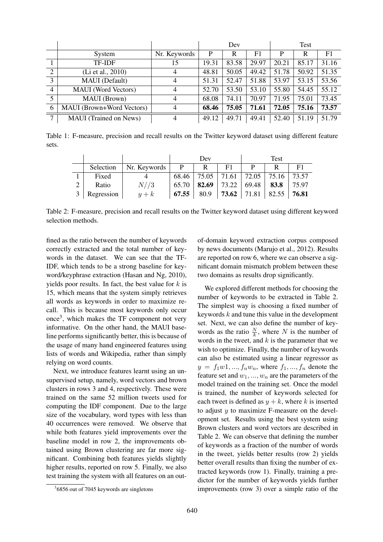|                |                            |              | Dev   |       |       | Test  |       |       |
|----------------|----------------------------|--------------|-------|-------|-------|-------|-------|-------|
|                | System                     | Nr. Keywords | P     | R     | F1    | P     | R     | F1    |
|                | <b>TF-IDF</b>              | 15           | 19.31 | 83.58 | 29.97 | 20.21 | 85.17 | 31.16 |
| $\overline{2}$ | (Li et al., 2010)          | 4            | 48.81 | 50.05 | 49.42 | 51.78 | 50.92 | 51.35 |
| $\overline{3}$ | MAUI (Default)             | 4            | 51.31 | 52.47 | 51.88 | 53.97 | 53.15 | 53.56 |
| $\overline{4}$ | <b>MAUI</b> (Word Vectors) | 4            | 52.70 | 53.50 | 53.10 | 55.80 | 54.45 | 55.12 |
| 5              | MAUI (Brown)               | 4            | 68.08 | 74.11 | 70.97 | 71.95 | 75.01 | 73.45 |
| 6              | MAUI (Brown+Word Vectors)  | 4            | 68.46 | 75.05 | 71.61 | 72.05 | 75.16 | 73.57 |
| $\mathbf{r}$   | MAUI (Trained on News)     | 4            | 49.12 | 49.71 | 49.41 | 52.40 | 51.19 | 51.79 |

Table 1: F-measure, precision and recall results on the Twitter keyword dataset using different feature sets.

|   |            |              | Dev   |       |                                             | Test |      |       |  |
|---|------------|--------------|-------|-------|---------------------------------------------|------|------|-------|--|
|   | Selection  | Nr. Keywords | P     | R     | F1                                          |      | R    | F1    |  |
|   | Fixed      |              |       |       | $68.46$   75.05   71.61   72.05   75.16     |      |      | 73.57 |  |
|   | Ratio      | N//3         | 65.70 | 82.69 | 73.22   69.48                               |      | 83.8 | 75.97 |  |
| 3 | Regression | $y+k$        | 67.55 | 80.9  | <b>73.62</b>   71.81   82.55   <b>76.81</b> |      |      |       |  |

Table 2: F-measure, precision and recall results on the Twitter keyword dataset using different keyword selection methods.

fined as the ratio between the number of keywords correctly extracted and the total number of keywords in the dataset. We can see that the TF-IDF, which tends to be a strong baseline for keyword/keyphrase extraction (Hasan and Ng, 2010), yields poor results. In fact, the best value for  $k$  is 15, which means that the system simply retrieves all words as keywords in order to maximize recall. This is because most keywords only occur once<sup>3</sup>, which makes the TF component not very informative. On the other hand, the MAUI baseline performs significantly better, this is because of the usage of many hand engineered features using lists of words and Wikipedia, rather than simply relying on word counts.

Next, we introduce features learnt using an unsupervised setup, namely, word vectors and brown clusters in rows 3 and 4, respectively. These were trained on the same 52 million tweets used for computing the IDF component. Due to the large size of the vocabulary, word types with less than 40 occurrences were removed. We observe that while both features yield improvements over the baseline model in row 2, the improvements obtained using Brown clustering are far more significant. Combining both features yields slightly higher results, reported on row 5. Finally, we also test training the system with all features on an out-

of-domain keyword extraction corpus composed by news documents (Marujo et al., 2012). Results are reported on row 6, where we can observe a significant domain mismatch problem between these two domains as results drop significantly.

We explored different methods for choosing the number of keywords to be extracted in Table 2. The simplest way is choosing a fixed number of keywords  $k$  and tune this value in the development set. Next, we can also define the number of keywords as the ratio  $\frac{N}{k}$ , where N is the number of words in the tweet, and  $k$  is the parameter that we wish to optimize. Finally, the number of keywords can also be estimated using a linear regressor as  $y = f_1w1, ..., f_nw_n$ , where  $f_1, ..., f_n$  denote the feature set and  $w_1, ..., w_n$  are the parameters of the model trained on the training set. Once the model is trained, the number of keywords selected for each tweet is defined as  $y + k$ , where k is inserted to adjust  $y$  to maximize F-measure on the development set. Results using the best system using Brown clusters and word vectors are described in Table 2. We can observe that defining the number of keywords as a fraction of the number of words in the tweet, yields better results (row 2) yields better overall results than fixing the number of extracted keywords (row 1). Finally, training a predictor for the number of keywords yields further improvements (row 3) over a simple ratio of the

<sup>&</sup>lt;sup>3</sup>6856 out of 7045 keywords are singletons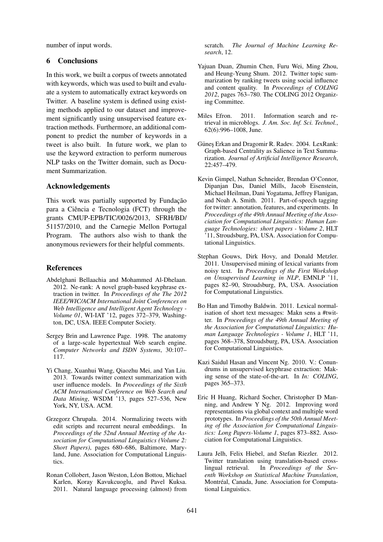number of input words.

# 6 Conclusions

In this work, we built a corpus of tweets annotated with keywords, which was used to built and evaluate a system to automatically extract keywords on Twitter. A baseline system is defined using existing methods applied to our dataset and improvement significantly using unsupervised feature extraction methods. Furthermore, an additional component to predict the number of keywords in a tweet is also built. In future work, we plan to use the keyword extraction to perform numerous NLP tasks on the Twitter domain, such as Document Summarization.

### Acknowledgements

This work was partially supported by Fundação para a Ciência e Tecnologia (FCT) through the grants CMUP-EPB/TIC/0026/2013, SFRH/BD/ 51157/2010, and the Carnegie Mellon Portugal Program. The authors also wish to thank the anonymous reviewers for their helpful comments.

# References

- Abdelghani Bellaachia and Mohammed Al-Dhelaan. 2012. Ne-rank: A novel graph-based keyphrase extraction in twitter. In *Proceedings of the The 2012 IEEE/WIC/ACM International Joint Conferences on Web Intelligence and Intelligent Agent Technology - Volume 01*, WI-IAT '12, pages 372–379, Washington, DC, USA. IEEE Computer Society.
- Sergey Brin and Lawrence Page. 1998. The anatomy of a large-scale hypertextual Web search engine. *Computer Networks and ISDN Systems*, 30:107– 117.
- Yi Chang, Xuanhui Wang, Qiaozhu Mei, and Yan Liu. 2013. Towards twitter context summarization with user influence models. In *Proceedings of the Sixth ACM International Conference on Web Search and Data Mining*, WSDM '13, pages 527–536, New York, NY, USA. ACM.
- Grzegorz Chrupała. 2014. Normalizing tweets with edit scripts and recurrent neural embeddings. In *Proceedings of the 52nd Annual Meeting of the Association for Computational Linguistics (Volume 2: Short Papers)*, pages 680–686, Baltimore, Maryland, June. Association for Computational Linguistics.
- Ronan Collobert, Jason Weston, Léon Bottou, Michael Karlen, Koray Kavukcuoglu, and Pavel Kuksa. 2011. Natural language processing (almost) from

scratch. *The Journal of Machine Learning Research*, 12.

- Yajuan Duan, Zhumin Chen, Furu Wei, Ming Zhou, and Heung-Yeung Shum. 2012. Twitter topic summarization by ranking tweets using social influence and content quality. In *Proceedings of COLING 2012*, pages 763–780. The COLING 2012 Organizing Committee.
- Miles Efron. 2011. Information search and retrieval in microblogs. *J. Am. Soc. Inf. Sci. Technol.*, 62(6):996–1008, June.
- Güneş Erkan and Dragomir R. Radev. 2004. LexRank: Graph-based Centrality as Salience in Text Summarization. *Journal of Artificial Intelligence Research*, 22:457–479.
- Kevin Gimpel, Nathan Schneider, Brendan O'Connor, Dipanjan Das, Daniel Mills, Jacob Eisenstein, Michael Heilman, Dani Yogatama, Jeffrey Flanigan, and Noah A. Smith. 2011. Part-of-speech tagging for twitter: annotation, features, and experiments. In *Proceedings of the 49th Annual Meeting of the Association for Computational Linguistics: Human Language Technologies: short papers - Volume 2*, HLT '11, Stroudsburg, PA, USA. Association for Computational Linguistics.
- Stephan Gouws, Dirk Hovy, and Donald Metzler. 2011. Unsupervised mining of lexical variants from noisy text. In *Proceedings of the First Workshop on Unsupervised Learning in NLP*, EMNLP '11, pages 82–90, Stroudsburg, PA, USA. Association for Computational Linguistics.
- Bo Han and Timothy Baldwin. 2011. Lexical normalisation of short text messages: Makn sens a #twitter. In *Proceedings of the 49th Annual Meeting of the Association for Computational Linguistics: Human Language Technologies - Volume 1*, HLT '11, pages 368–378, Stroudsburg, PA, USA. Association for Computational Linguistics.
- Kazi Saidul Hasan and Vincent Ng. 2010. V.: Conundrums in unsupervised keyphrase extraction: Making sense of the state-of-the-art. In *In: COLING*, pages 365–373.
- Eric H Huang, Richard Socher, Christopher D Manning, and Andrew Y Ng. 2012. Improving word representations via global context and multiple word prototypes. In *Proceedings of the 50th Annual Meeting of the Association for Computational Linguistics: Long Papers-Volume 1*, pages 873–882. Association for Computational Linguistics.
- Laura Jelh, Felix Hiebel, and Stefan Riezler. 2012. Twitter translation using translation-based crosslingual retrieval. In *Proceedings of the Seventh Workshop on Statistical Machine Translation*, Montréal, Canada, June. Association for Computational Linguistics.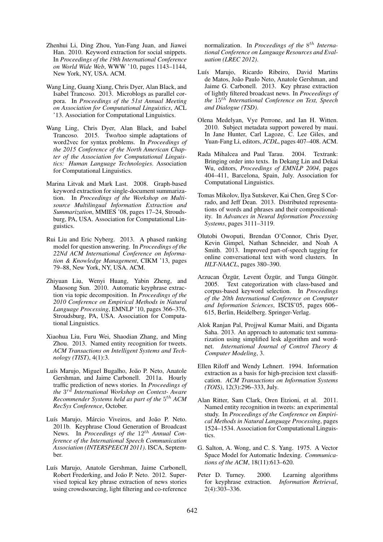- Zhenhui Li, Ding Zhou, Yun-Fang Juan, and Jiawei Han. 2010. Keyword extraction for social snippets. In *Proceedings of the 19th International Conference on World Wide Web*, WWW '10, pages 1143–1144, New York, NY, USA. ACM.
- Wang Ling, Guang Xiang, Chris Dyer, Alan Black, and Isabel Trancoso. 2013. Microblogs as parallel corpora. In *Proceedings of the 51st Annual Meeting on Association for Computational Linguistics*, ACL '13. Association for Computational Linguistics.
- Wang Ling, Chris Dyer, Alan Black, and Isabel Trancoso. 2015. Two/too simple adaptations of word2vec for syntax problems. In *Proceedings of the 2015 Conference of the North American Chapter of the Association for Computational Linguistics: Human Language Technologies*. Association for Computational Linguistics.
- Marina Litvak and Mark Last. 2008. Graph-based keyword extraction for single-document summarization. In *Proceedings of the Workshop on Multisource Multilingual Information Extraction and Summarization*, MMIES '08, pages 17–24, Stroudsburg, PA, USA. Association for Computational Linguistics.
- Rui Liu and Eric Nyberg. 2013. A phased ranking model for question answering. In *Proceedings of the 22Nd ACM International Conference on Information & Knowledge Management*, CIKM '13, pages 79–88, New York, NY, USA. ACM.
- Zhiyuan Liu, Wenyi Huang, Yabin Zheng, and Maosong Sun. 2010. Automatic keyphrase extraction via topic decomposition. In *Proceedings of the 2010 Conference on Empirical Methods in Natural Language Processing*, EMNLP '10, pages 366–376, Stroudsburg, PA, USA. Association for Computational Linguistics.
- Xiaohua Liu, Furu Wei, Shaodian Zhang, and Ming Zhou. 2013. Named entity recognition for tweets. *ACM Transactions on Intelligent Systems and Technology (TIST)*, 4(1):3.
- Luís Marujo, Miguel Bugalho, João P. Neto, Anatole Gershman, and Jaime Carbonell. 2011a. Hourly traffic prediction of news stories. In *Proceedings of the* 3 rd *International Workshop on Context- Aware Recommender Systems held as part of the* 5 th *ACM RecSys Conference*, October.
- Luís Marujo, Márcio Viveiros, and João P. Neto. 2011b. Keyphrase Cloud Generation of Broadcast News. In *Proceedings of the*  $12^{th}$  *Annual Conference of the International Speech Communication Association (INTERSPEECH 2011)*. ISCA, September.
- Luís Marujo, Anatole Gershman, Jaime Carbonell, Robert Frederking, and João P. Neto. 2012. Supervised topical key phrase extraction of news stories using crowdsourcing, light filtering and co-reference

normalization. In *Proceedings of the* 8<sup>th</sup> Interna*tional Conference on Language Resources and Evaluation (LREC 2012)*.

- Luís Marujo, Ricardo Ribeiro, David Martins de Matos, João Paulo Neto, Anatole Gershman, and Jaime G. Carbonell. 2013. Key phrase extraction of lightly filtered broadcast news. In *Proceedings of the* 15th *International Conference on Text, Speech and Dialogue (TSD)*.
- Olena Medelyan, Vye Perrone, and Ian H. Witten. 2010. Subject metadata support powered by maui. In Jane Hunter, Carl Lagoze, C. Lee Giles, and Yuan-Fang Li, editors, *JCDL*, pages 407–408. ACM.
- Rada Mihalcea and Paul Tarau. 2004. Textrank: Bringing order into texts. In Dekang Lin and Dekai Wu, editors, *Proceedings of EMNLP 2004*, pages 404–411, Barcelona, Spain, July. Association for Computational Linguistics.
- Tomas Mikolov, Ilya Sutskever, Kai Chen, Greg S Corrado, and Jeff Dean. 2013. Distributed representations of words and phrases and their compositionality. In *Advances in Neural Information Processing Systems*, pages 3111–3119.
- Olutobi Owoputi, Brendan O'Connor, Chris Dyer, Kevin Gimpel, Nathan Schneider, and Noah A Smith. 2013. Improved part-of-speech tagging for online conversational text with word clusters. In *HLT-NAACL*, pages 380–390.
- Arzucan Özgür, Levent Özgür, and Tunga Güngör. 2005. Text categorization with class-based and corpus-based keyword selection. In *Proceedings of the 20th International Conference on Computer and Information Sciences*, ISCIS'05, pages 606– 615, Berlin, Heidelberg. Springer-Verlag.
- Alok Ranjan Pal, Projjwal Kumar Maiti, and Diganta Saha. 2013. An approach to automatic text summarization using simplified lesk algorithm and wordnet. *International Journal of Control Theory & Computer Modeling*, 3.
- Ellen Riloff and Wendy Lehnert. 1994. Information extraction as a basis for high-precision text classification. *ACM Transactions on Information Systems (TOIS)*, 12(3):296–333, July.
- Alan Ritter, Sam Clark, Oren Etzioni, et al. 2011. Named entity recognition in tweets: an experimental study. In *Proceedings of the Conference on Empirical Methods in Natural Language Processing*, pages 1524–1534. Association for Computational Linguistics.
- G. Salton, A. Wong, and C. S. Yang. 1975. A Vector Space Model for Automatic Indexing. *Communications of the ACM*, 18(11):613–620.
- Peter D. Turney. 2000. Learning algorithms for keyphrase extraction. *Information Retrieval*, 2(4):303–336.